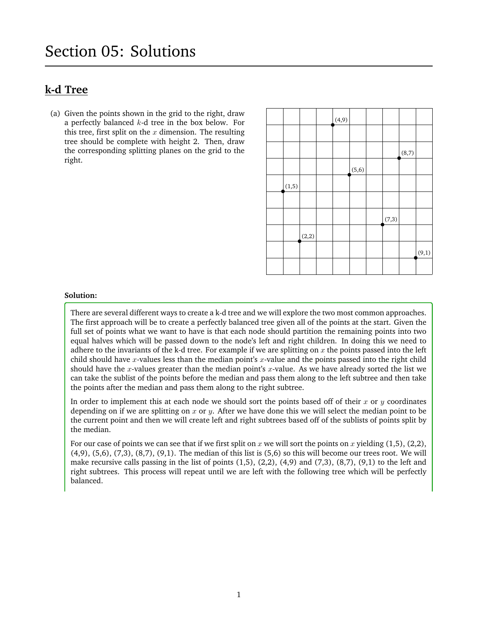# **k-d Tree**

(a) Given the points shown in the grid to the right, draw a perfectly balanced  $k$ -d tree in the box below. For this tree, first split on the  $x$  dimension. The resulting tree should be complete with height 2. Then, draw the corresponding splitting planes on the grid to the right.

|        |       | (4, 9) |        |       |       |       |
|--------|-------|--------|--------|-------|-------|-------|
|        |       |        |        |       |       |       |
|        |       |        |        |       | (8,7) |       |
|        |       |        | (5, 6) |       |       |       |
| (1, 5) |       |        |        |       |       |       |
|        |       |        |        |       |       |       |
|        |       |        |        | (7,3) |       |       |
|        | (2,2) |        |        |       |       |       |
|        |       |        |        |       |       | (9,1) |
|        |       |        |        |       |       |       |

#### **Solution:**

There are several different ways to create a k-d tree and we will explore the two most common approaches. The first approach will be to create a perfectly balanced tree given all of the points at the start. Given the full set of points what we want to have is that each node should partition the remaining points into two equal halves which will be passed down to the node's left and right children. In doing this we need to adhere to the invariants of the k-d tree. For example if we are splitting on  $x$  the points passed into the left child should have x-values less than the median point's x-value and the points passed into the right child should have the x-values greater than the median point's x-value. As we have already sorted the list we can take the sublist of the points before the median and pass them along to the left subtree and then take the points after the median and pass them along to the right subtree.

In order to implement this at each node we should sort the points based off of their  $x$  or  $y$  coordinates depending on if we are splitting on x or y. After we have done this we will select the median point to be the current point and then we will create left and right subtrees based off of the sublists of points split by the median.

For our case of points we can see that if we first split on x we will sort the points on x yielding  $(1,5)$ ,  $(2,2)$ ,  $(4,9)$ ,  $(5,6)$ ,  $(7,3)$ ,  $(8,7)$ ,  $(9,1)$ . The median of this list is  $(5,6)$  so this will become our trees root. We will make recursive calls passing in the list of points  $(1,5)$ ,  $(2,2)$ ,  $(4,9)$  and  $(7,3)$ ,  $(8,7)$ ,  $(9,1)$  to the left and right subtrees. This process will repeat until we are left with the following tree which will be perfectly balanced.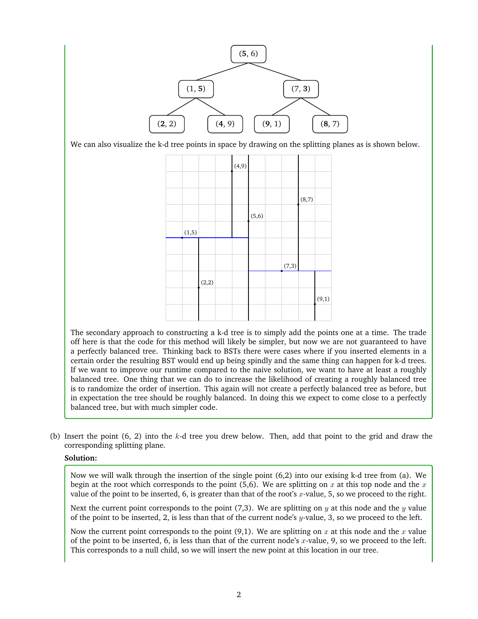

We can also visualize the k-d tree points in space by drawing on the splitting planes as is shown below.



The secondary approach to constructing a k-d tree is to simply add the points one at a time. The trade off here is that the code for this method will likely be simpler, but now we are not guaranteed to have a perfectly balanced tree. Thinking back to BSTs there were cases where if you inserted elements in a certain order the resulting BST would end up being spindly and the same thing can happen for k-d trees. If we want to improve our runtime compared to the naive solution, we want to have at least a roughly balanced tree. One thing that we can do to increase the likelihood of creating a roughly balanced tree is to randomize the order of insertion. This again will not create a perfectly balanced tree as before, but in expectation the tree should be roughly balanced. In doing this we expect to come close to a perfectly balanced tree, but with much simpler code.

(b) Insert the point (6, 2) into the k-d tree you drew below. Then, add that point to the grid and draw the corresponding splitting plane.

#### **Solution:**

Now we will walk through the insertion of the single point (6,2) into our exising k-d tree from (a). We begin at the root which corresponds to the point (5,6). We are splitting on x at this top node and the x value of the point to be inserted, 6, is greater than that of the root's x-value, 5, so we proceed to the right.

Next the current point corresponds to the point (7,3). We are splitting on  $y$  at this node and the  $y$  value of the point to be inserted, 2, is less than that of the current node's  $y$ -value, 3, so we proceed to the left.

Now the current point corresponds to the point  $(9,1)$ . We are splitting on x at this node and the x value of the point to be inserted, 6, is less than that of the current node's x-value, 9, so we proceed to the left. This corresponds to a null child, so we will insert the new point at this location in our tree.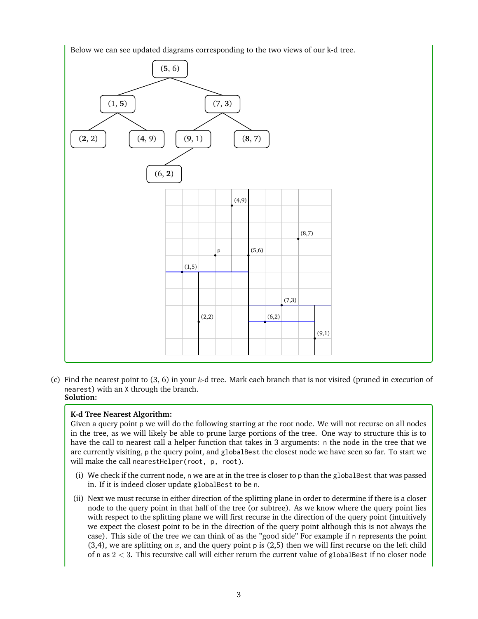Below we can see updated diagrams corresponding to the two views of our k-d tree.



(c) Find the nearest point to  $(3, 6)$  in your k-d tree. Mark each branch that is not visited (pruned in execution of nearest) with an X through the branch. **Solution:**

# **K-d Tree Nearest Algorithm:**

Given a query point p we will do the following starting at the root node. We will not recurse on all nodes in the tree, as we will likely be able to prune large portions of the tree. One way to structure this is to have the call to nearest call a helper function that takes in 3 arguments: n the node in the tree that we are currently visiting, p the query point, and globalBest the closest node we have seen so far. To start we will make the call nearestHelper(root, p, root).

- (i) We check if the current node, n we are at in the tree is closer to p than the globalBest that was passed in. If it is indeed closer update globalBest to be n.
- (ii) Next we must recurse in either direction of the splitting plane in order to determine if there is a closer node to the query point in that half of the tree (or subtree). As we know where the query point lies with respect to the splitting plane we will first recurse in the direction of the query point (intuitively we expect the closest point to be in the direction of the query point although this is not always the case). This side of the tree we can think of as the "good side" For example if n represents the point (3,4), we are splitting on  $x$ , and the query point p is (2,5) then we will first recurse on the left child of n as  $2 < 3$ . This recursive call will either return the current value of globalBest if no closer node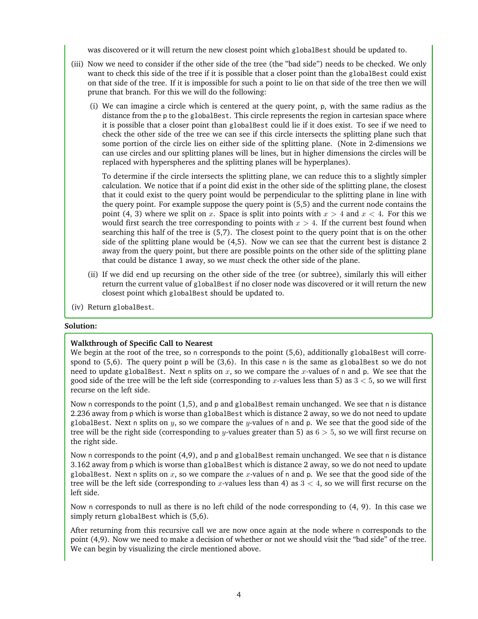was discovered or it will return the new closest point which globalBest should be updated to.

- (iii) Now we need to consider if the other side of the tree (the "bad side") needs to be checked. We only want to check this side of the tree if it is possible that a closer point than the globalBest could exist on that side of the tree. If it is impossible for such a point to lie on that side of the tree then we will prune that branch. For this we will do the following:
	- (i) We can imagine a circle which is centered at the query point, p, with the same radius as the distance from the p to the globalBest. This circle represents the region in cartesian space where it is possible that a closer point than globalBest could lie if it does exist. To see if we need to check the other side of the tree we can see if this circle intersects the splitting plane such that some portion of the circle lies on either side of the splitting plane. (Note in 2-dimensions we can use circles and our splitting planes will be lines, but in higher dimensions the circles will be replaced with hyperspheres and the splitting planes will be hyperplanes).

To determine if the circle intersects the splitting plane, we can reduce this to a slightly simpler calculation. We notice that if a point did exist in the other side of the splitting plane, the closest that it could exist to the query point would be perpendicular to the splitting plane in line with the query point. For example suppose the query point is (5,5) and the current node contains the point (4, 3) where we split on x. Space is split into points with  $x > 4$  and  $x < 4$ . For this we would first search the tree corresponding to points with  $x > 4$ . If the current best found when searching this half of the tree is (5,7). The closest point to the query point that is on the other side of the splitting plane would be (4,5). Now we can see that the current best is distance 2 away from the query point, but there are possible points on the other side of the splitting plane that could be distance 1 away, so we *must* check the other side of the plane.

- (ii) If we did end up recursing on the other side of the tree (or subtree), similarly this will either return the current value of globalBest if no closer node was discovered or it will return the new closest point which globalBest should be updated to.
- (iv) Return globalBest.

#### **Solution:**

#### **Walkthrough of Specific Call to Nearest**

We begin at the root of the tree, so n corresponds to the point (5,6), additionally globalBest will correspond to  $(5,6)$ . The query point p will be  $(3,6)$ . In this case n is the same as globalBest so we do not need to update globalBest. Next n splits on x, so we compare the x-values of n and p. We see that the good side of the tree will be the left side (corresponding to x-values less than 5) as  $3 < 5$ , so we will first recurse on the left side.

Now n corresponds to the point (1,5), and p and globalBest remain unchanged. We see that n is distance 2.236 away from p which is worse than globalBest which is distance 2 away, so we do not need to update globalBest. Next n splits on y, so we compare the y-values of n and p. We see that the good side of the tree will be the right side (corresponding to y-values greater than 5) as  $6 > 5$ , so we will first recurse on the right side.

Now n corresponds to the point (4,9), and p and globalBest remain unchanged. We see that n is distance 3.162 away from p which is worse than globalBest which is distance 2 away, so we do not need to update globalBest. Next n splits on x, so we compare the x-values of n and p. We see that the good side of the tree will be the left side (corresponding to x-values less than 4) as  $3 < 4$ , so we will first recurse on the left side.

Now n corresponds to null as there is no left child of the node corresponding to (4, 9). In this case we simply return globalBest which is (5,6).

After returning from this recursive call we are now once again at the node where n corresponds to the point (4,9). Now we need to make a decision of whether or not we should visit the "bad side" of the tree. We can begin by visualizing the circle mentioned above.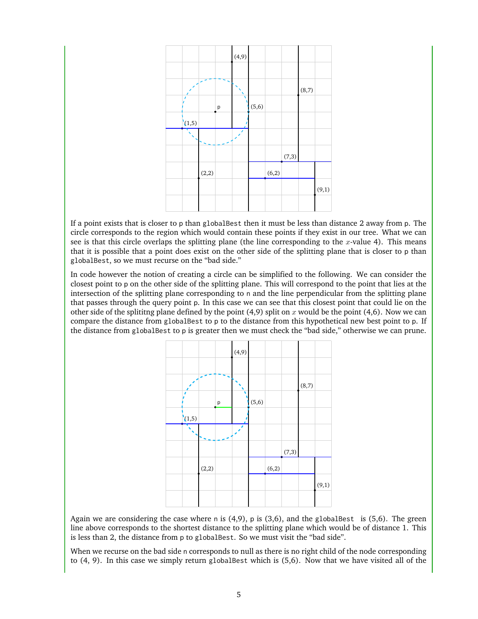

If a point exists that is closer to p than globalBest then it must be less than distance 2 away from p. The circle corresponds to the region which would contain these points if they exist in our tree. What we can see is that this circle overlaps the splitting plane (the line corresponding to the  $x$ -value 4). This means that it is possible that a point does exist on the other side of the splitting plane that is closer to p than globalBest, so we must recurse on the "bad side."

In code however the notion of creating a circle can be simplified to the following. We can consider the closest point to p on the other side of the splitting plane. This will correspond to the point that lies at the intersection of the splitting plane corresponding to n and the line perpendicular from the splitting plane that passes through the query point p. In this case we can see that this closest point that could lie on the other side of the splititng plane defined by the point  $(4,9)$  split on x would be the point  $(4,6)$ . Now we can compare the distance from globalBest to p to the distance from this hypothetical new best point to p. If the distance from globalBest to p is greater then we must check the "bad side," otherwise we can prune.



Again we are considering the case where n is  $(4,9)$ , p is  $(3,6)$ , and the globalBest is  $(5,6)$ . The green line above corresponds to the shortest distance to the splitting plane which would be of distance 1. This is less than 2, the distance from p to globalBest. So we must visit the "bad side".

When we recurse on the bad side n corresponds to null as there is no right child of the node corresponding to (4, 9). In this case we simply return globalBest which is (5,6). Now that we have visited all of the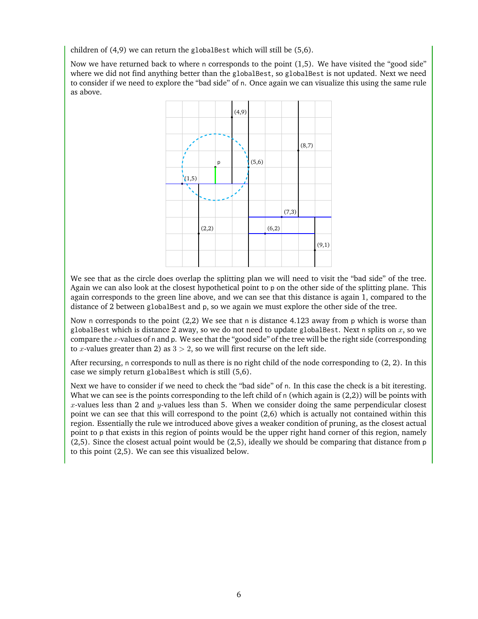children of (4,9) we can return the globalBest which will still be (5,6).

Now we have returned back to where n corresponds to the point (1,5). We have visited the "good side" where we did not find anything better than the globalBest, so globalBest is not updated. Next we need to consider if we need to explore the "bad side" of n. Once again we can visualize this using the same rule as above.



We see that as the circle does overlap the splitting plan we will need to visit the "bad side" of the tree. Again we can also look at the closest hypothetical point to p on the other side of the splitting plane. This again corresponds to the green line above, and we can see that this distance is again 1, compared to the distance of 2 between globalBest and p, so we again we must explore the other side of the tree.

Now n corresponds to the point (2,2) We see that n is distance 4.123 away from p which is worse than globalBest which is distance 2 away, so we do not need to update globalBest. Next n splits on x, so we compare the x-values of n and p. We see that the "good side" of the tree will be the right side (corresponding to x-values greater than 2) as  $3 > 2$ , so we will first recurse on the left side.

After recursing, n corresponds to null as there is no right child of the node corresponding to (2, 2). In this case we simply return globalBest which is still (5,6).

Next we have to consider if we need to check the "bad side" of n. In this case the check is a bit iteresting. What we can see is the points corresponding to the left child of n (which again is (2,2)) will be points with x-values less than 2 and y-values less than 5. When we consider doing the same perpendicular closest point we can see that this will correspond to the point (2,6) which is actually not contained within this region. Essentially the rule we introduced above gives a weaker condition of pruning, as the closest actual point to p that exists in this region of points would be the upper right hand corner of this region, namely (2,5). Since the closest actual point would be (2,5), ideally we should be comparing that distance from p to this point (2,5). We can see this visualized below.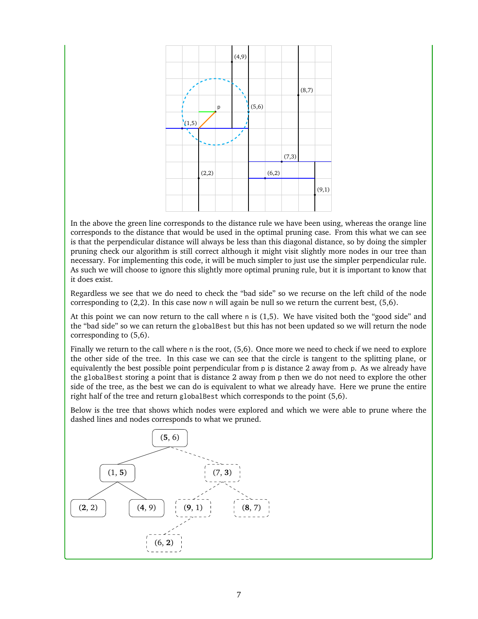

In the above the green line corresponds to the distance rule we have been using, whereas the orange line corresponds to the distance that would be used in the optimal pruning case. From this what we can see is that the perpendicular distance will always be less than this diagonal distance, so by doing the simpler pruning check our algorithm is still correct although it might visit slightly more nodes in our tree than necessary. For implementing this code, it will be much simpler to just use the simpler perpendicular rule. As such we will choose to ignore this slightly more optimal pruning rule, but it is important to know that it does exist.

Regardless we see that we do need to check the "bad side" so we recurse on the left child of the node corresponding to  $(2,2)$ . In this case now n will again be null so we return the current best,  $(5,6)$ .

At this point we can now return to the call where n is (1,5). We have visited both the "good side" and the "bad side" so we can return the globalBest but this has not been updated so we will return the node corresponding to (5,6).

Finally we return to the call where n is the root, (5,6). Once more we need to check if we need to explore the other side of the tree. In this case we can see that the circle is tangent to the splitting plane, or equivalently the best possible point perpendicular from p is distance 2 away from p. As we already have the globalBest storing a point that is distance 2 away from p then we do not need to explore the other side of the tree, as the best we can do is equivalent to what we already have. Here we prune the entire right half of the tree and return globalBest which corresponds to the point (5,6).

Below is the tree that shows which nodes were explored and which we were able to prune where the dashed lines and nodes corresponds to what we pruned.

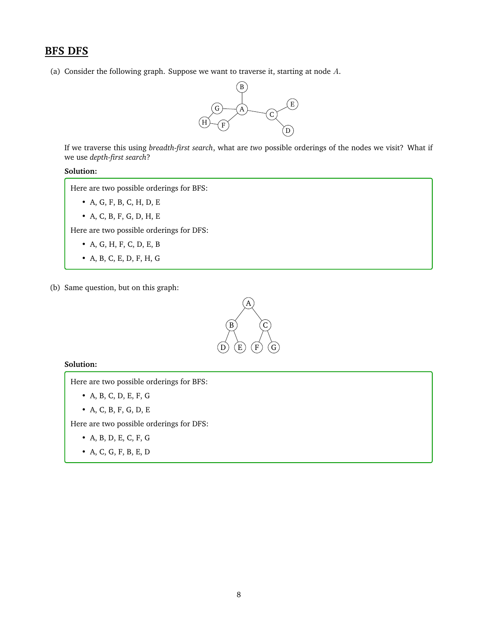# **BFS DFS**

(a) Consider the following graph. Suppose we want to traverse it, starting at node  $A$ .



If we traverse this using *breadth-first search*, what are *two* possible orderings of the nodes we visit? What if we use *depth-first search*?

### **Solution:**

Here are two possible orderings for BFS:

- A, G, F, B, C, H, D, E
- A, C, B, F, G, D, H, E

Here are two possible orderings for DFS:

- A, G, H, F, C, D, E, B
- A, B, C, E, D, F, H, G
- (b) Same question, but on this graph:



#### **Solution:**

Here are two possible orderings for BFS:

- A, B, C, D, E, F, G
- A, C, B, F, G, D, E

Here are two possible orderings for DFS:

- A, B, D, E, C, F, G
- A, C, G, F, B, E, D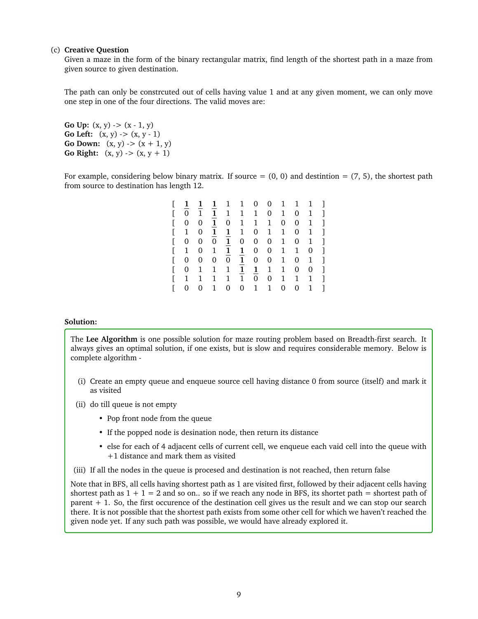#### (c) **Creative Question**

Given a maze in the form of the binary rectangular matrix, find length of the shortest path in a maze from given source to given destination.

The path can only be constrcuted out of cells having value 1 and at any given moment, we can only move one step in one of the four directions. The valid moves are:

**Go Up:**  $(x, y)$  ->  $(x - 1, y)$ **Go Left:**  $(x, y)$   $\rightarrow$   $(x, y - 1)$ **Go Down:**  $(x, y)$  ->  $(x + 1, y)$ **Go Right:**  $(x, y)$  ->  $(x, y + 1)$ 

For example, considering below binary matrix. If source  $= (0, 0)$  and destintion  $= (7, 5)$ , the shortest path from source to destination has length 12.

|   |              |   | $\mathbf{1}$ | $\overline{1}$ | $\mathbf{1}$   |              |                | $0 \quad 0 \quad 1$ | $\mathbf{1}$ | $\mathbf{1}$ |              |
|---|--------------|---|--------------|----------------|----------------|--------------|----------------|---------------------|--------------|--------------|--------------|
| L | 0            | 1 | 1            | $\mathbf{1}$   | 1              | $\mathbf 1$  | $\overline{0}$ | 1                   | 0            | 1            | ı            |
| Г | 0            | 0 | $\mathbf{1}$ | 0              | 1              | $\mathbf 1$  | 1              | 0                   | 0            | 1            | ı            |
| E | 1            | 0 | 1            | $\mathbf{1}$   | 1              | 0            | 1              | 1                   | 0            | 1            | ı            |
| Г | 0            | 0 | 0            | $\mathbf{1}$   | 0              | 0            | 0              | 1                   | 0            | 1            | ı            |
| Г | $\mathbf{1}$ | 0 | 1            | 1              | $\mathbf{1}$   | 0            | 0              | 1                   | $\mathbf{1}$ | 0            | ı            |
| Г | 0            | 0 | 0            | $\overline{0}$ | $\mathbf{1}$   | $\mathbf{0}$ | $\mathbf{0}$   | 1                   | 0            | 1            | ı            |
| Г | 0            | 1 | 1            | 1              | $\mathbf{1}$   | $\mathbf{1}$ | 1              | 1                   | 0            | 0            | ı            |
| Г | 1            | 1 | 1            | 1              | $\mathbf{1}$   | 0            | $\overline{0}$ | 1                   | 1            | 1            | ı            |
| Г | 0            | 0 | 1            | 0              | $\overline{0}$ | $\mathbf{1}$ | 1              | 0                   | 0            | 1            | $\mathbf{1}$ |

#### **Solution:**

The **Lee Algorithm** is one possible solution for maze routing problem based on Breadth-first search. It always gives an optimal solution, if one exists, but is slow and requires considerable memory. Below is complete algorithm -

- (i) Create an empty queue and enqueue source cell having distance 0 from source (itself) and mark it as visited
- (ii) do till queue is not empty
	- Pop front node from the queue
	- If the popped node is desination node, then return its distance
	- else for each of 4 adjacent cells of current cell, we enqueue each vaid cell into the queue with +1 distance and mark them as visited
- (iii) If all the nodes in the queue is procesed and destination is not reached, then return false

Note that in BFS, all cells having shortest path as 1 are visited first, followed by their adjacent cells having shortest path as  $1 + 1 = 2$  and so on.. so if we reach any node in BFS, its shortet path = shortest path of parent + 1. So, the first occurence of the destination cell gives us the result and we can stop our search there. It is not possible that the shortest path exists from some other cell for which we haven't reached the given node yet. If any such path was possible, we would have already explored it.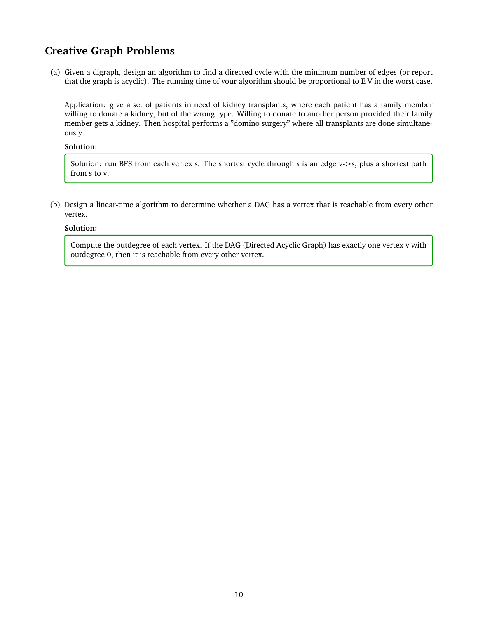# **Creative Graph Problems**

(a) Given a digraph, design an algorithm to find a directed cycle with the minimum number of edges (or report that the graph is acyclic). The running time of your algorithm should be proportional to E V in the worst case.

Application: give a set of patients in need of kidney transplants, where each patient has a family member willing to donate a kidney, but of the wrong type. Willing to donate to another person provided their family member gets a kidney. Then hospital performs a "domino surgery" where all transplants are done simultaneously.

### **Solution:**

Solution: run BFS from each vertex s. The shortest cycle through s is an edge v->s, plus a shortest path from s to v.

(b) Design a linear-time algorithm to determine whether a DAG has a vertex that is reachable from every other vertex.

## **Solution:**

Compute the outdegree of each vertex. If the DAG (Directed Acyclic Graph) has exactly one vertex v with outdegree 0, then it is reachable from every other vertex.